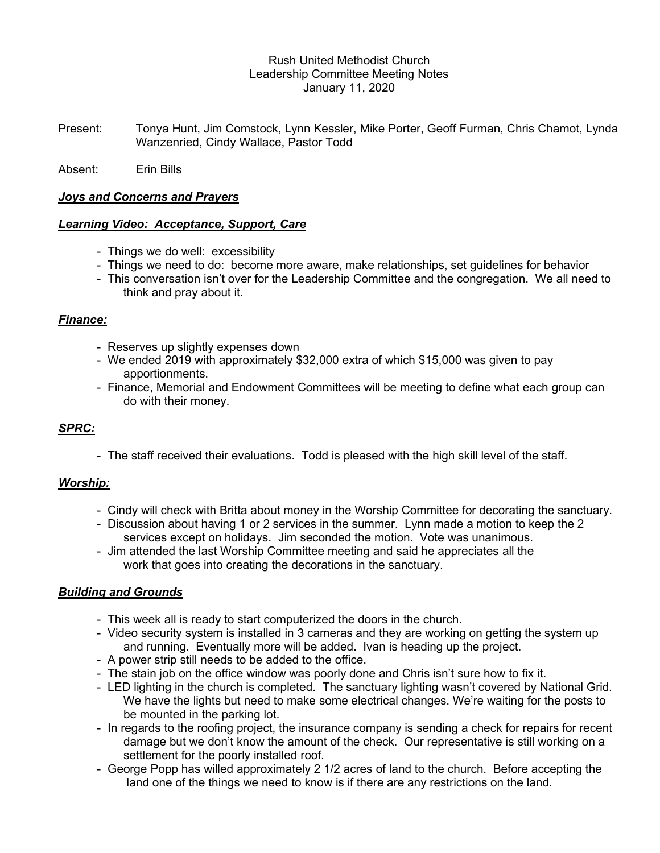# Rush United Methodist Church Leadership Committee Meeting Notes January 11, 2020

Present: Tonya Hunt, Jim Comstock, Lynn Kessler, Mike Porter, Geoff Furman, Chris Chamot, Lynda Wanzenried, Cindy Wallace, Pastor Todd

Absent: Erin Bills

### Joys and Concerns and Prayers

# Learning Video: Acceptance, Support, Care

- Things we do well: excessibility
- Things we need to do: become more aware, make relationships, set guidelines for behavior
- This conversation isn't over for the Leadership Committee and the congregation. We all need to think and pray about it.

# Finance:

- Reserves up slightly expenses down
- We ended 2019 with approximately \$32,000 extra of which \$15,000 was given to pay apportionments.
- Finance, Memorial and Endowment Committees will be meeting to define what each group can do with their money.

# SPRC:

- The staff received their evaluations. Todd is pleased with the high skill level of the staff.

#### Worship:

- Cindy will check with Britta about money in the Worship Committee for decorating the sanctuary.
- Discussion about having 1 or 2 services in the summer. Lynn made a motion to keep the 2 services except on holidays. Jim seconded the motion. Vote was unanimous.
- Jim attended the last Worship Committee meeting and said he appreciates all the work that goes into creating the decorations in the sanctuary.

# **Building and Grounds**

- This week all is ready to start computerized the doors in the church.
- Video security system is installed in 3 cameras and they are working on getting the system up and running. Eventually more will be added. Ivan is heading up the project.
- A power strip still needs to be added to the office.
- The stain job on the office window was poorly done and Chris isn't sure how to fix it.
- LED lighting in the church is completed. The sanctuary lighting wasn't covered by National Grid. We have the lights but need to make some electrical changes. We're waiting for the posts to be mounted in the parking lot.
- In regards to the roofing project, the insurance company is sending a check for repairs for recent damage but we don't know the amount of the check. Our representative is still working on a settlement for the poorly installed roof.
- George Popp has willed approximately 2 1/2 acres of land to the church. Before accepting the land one of the things we need to know is if there are any restrictions on the land.